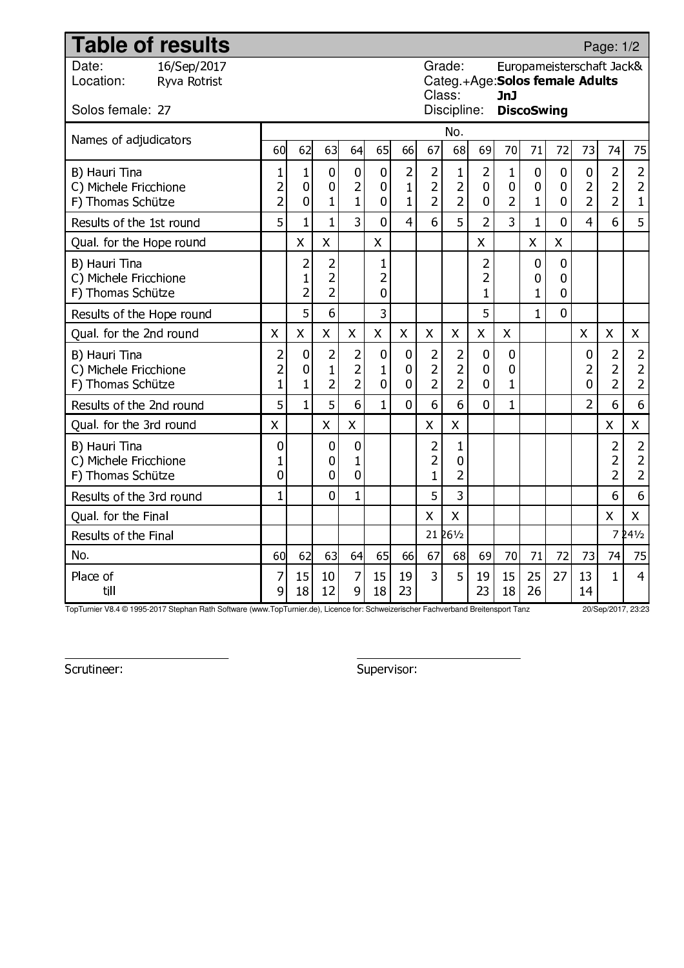| <b>Table of results</b>                                     |                                                                                                |                                       |                                                    |                                                    |                           |                                                |                                                    |                                                    |                                                  |                                  |                                      |                           |                                       | Page: 1/2                                                   |                                                    |
|-------------------------------------------------------------|------------------------------------------------------------------------------------------------|---------------------------------------|----------------------------------------------------|----------------------------------------------------|---------------------------|------------------------------------------------|----------------------------------------------------|----------------------------------------------------|--------------------------------------------------|----------------------------------|--------------------------------------|---------------------------|---------------------------------------|-------------------------------------------------------------|----------------------------------------------------|
| 16/Sep/2017<br>Date:<br>Location:<br>Ryva Rotrist           | Grade:<br>Europameisterschaft Jack&<br>Categ.+Age: Solos female Adults<br>Class:<br><b>JnJ</b> |                                       |                                                    |                                                    |                           |                                                |                                                    |                                                    |                                                  |                                  |                                      |                           |                                       |                                                             |                                                    |
| Solos female: 27                                            |                                                                                                |                                       |                                                    |                                                    |                           |                                                |                                                    | Discipline:                                        |                                                  |                                  | <b>DiscoSwing</b>                    |                           |                                       |                                                             |                                                    |
| Names of adjudicators                                       |                                                                                                |                                       |                                                    |                                                    |                           |                                                |                                                    | No.                                                |                                                  |                                  |                                      |                           |                                       |                                                             |                                                    |
|                                                             | 60                                                                                             | 62                                    | 63                                                 | 64                                                 | 65                        | 66                                             | 67                                                 | 68                                                 | 69                                               | 70                               | 71                                   | 72                        | 73                                    | 74                                                          | 75                                                 |
| B) Hauri Tina<br>C) Michele Fricchione<br>F) Thomas Schütze | $\mathbf{1}$<br>$\overline{c}$<br>$\overline{2}$                                               | 1<br>0<br>$\overline{0}$              | 0<br>0<br>$\mathbf{1}$                             | 0<br>$\overline{\mathbf{c}}$<br>$\mathbf{1}$       | $\mathbf 0$<br>0<br>0     | $\overline{2}$<br>$\mathbf{1}$<br>$\mathbf{1}$ | $\overline{2}$<br>$\overline{2}$<br>$\overline{2}$ | $\mathbf{1}$<br>$\overline{a}$<br>$\overline{2}$   | $\overline{2}$<br>0<br>0                         | 1<br>0<br>$\overline{2}$         | $\bf{0}$<br>$\bf{0}$<br>$\mathbf{1}$ | 0<br>0<br>0               | 0<br>$\overline{c}$<br>$\overline{2}$ | $\overline{2}$<br>$\overline{2}$<br>$\overline{2}$          | $\overline{c}$<br>$\overline{c}$<br>$\mathbf{1}$   |
| Results of the 1st round                                    | 5                                                                                              | $\mathbf{1}$                          | $\overline{1}$                                     | 3                                                  | $\overline{0}$            | $\overline{4}$                                 | 6                                                  | 5                                                  | $\overline{2}$                                   | 3                                | $\mathbf{1}$                         | 0                         | 4                                     | 6                                                           | 5                                                  |
| Qual. for the Hope round                                    |                                                                                                | $\overline{X}$                        | $\mathsf{X}$                                       |                                                    | $\pmb{\mathsf{X}}$        |                                                |                                                    |                                                    | X                                                |                                  | $\boldsymbol{\mathsf{X}}$            | $\boldsymbol{\mathsf{X}}$ |                                       |                                                             |                                                    |
| B) Hauri Tina<br>C) Michele Fricchione<br>F) Thomas Schütze |                                                                                                | $\overline{a}$<br>1<br>$\overline{2}$ | $\overline{c}$<br>$\overline{2}$<br>$\overline{2}$ |                                                    | 1<br>2<br>$\bf{0}$        |                                                |                                                    |                                                    | $\overline{c}$<br>$\overline{2}$<br>$\mathbf{1}$ |                                  | $\bf{0}$<br>$\boldsymbol{0}$<br>1    | 0<br>0<br>0               |                                       |                                                             |                                                    |
| Results of the Hope round                                   |                                                                                                | 5                                     | 6                                                  |                                                    | 3                         |                                                |                                                    |                                                    | 5                                                |                                  | $\mathbf{1}$                         | 0                         |                                       |                                                             |                                                    |
| Qual. for the 2nd round                                     | $\mathsf{X}$                                                                                   | X                                     | $\pmb{\times}$                                     | $\mathsf{X}$                                       | $\mathsf{X}$              | $\mathsf{X}$                                   | X                                                  | $\mathsf{X}$                                       | $\mathsf{X}$                                     | $\mathsf{X}$                     |                                      |                           | $\mathsf{X}$                          | $\mathsf{X}$                                                | $\mathsf{X}$                                       |
| B) Hauri Tina<br>C) Michele Fricchione<br>F) Thomas Schütze | $\overline{\mathbf{c}}$<br>$\overline{c}$<br>$\mathbf{1}$                                      | 0<br>$\bf{0}$<br>$\mathbf{1}$         | $\overline{2}$<br>$\mathbf{1}$<br>$\overline{2}$   | $\overline{c}$<br>$\overline{a}$<br>$\overline{2}$ | $\bf{0}$<br>1<br>$\bf{0}$ | $\bf{0}$<br>0<br>0                             | $\overline{2}$<br>$\overline{2}$<br>$\overline{2}$ | $\overline{2}$<br>$\overline{2}$<br>$\overline{2}$ | 0<br>$\bf{0}$<br>0                               | 0<br>$\mathbf 0$<br>$\mathbf{1}$ |                                      |                           | 0<br>2<br>0                           | $\overline{2}$<br>$\overline{2}$<br>$\overline{2}$          | $\overline{a}$<br>$\overline{a}$<br>$\overline{2}$ |
| Results of the 2nd round                                    | 5                                                                                              | $\mathbf{1}$                          | 5                                                  | 6                                                  | $\mathbf{1}$              | 0                                              | 6                                                  | 6                                                  | $\overline{0}$                                   | $\mathbf{1}$                     |                                      |                           | $\overline{2}$                        | 6                                                           | 6                                                  |
| Qual. for the 3rd round                                     | $\overline{\mathsf{X}}$                                                                        |                                       | $\mathsf{X}$                                       | $\mathsf{X}$                                       |                           |                                                | X                                                  | $\mathsf{X}$                                       |                                                  |                                  |                                      |                           |                                       | $\mathsf{X}$                                                | $\mathsf{X}$                                       |
| B) Hauri Tina<br>C) Michele Fricchione<br>F) Thomas Schütze | $\bf{0}$<br>$\mathbf{1}$<br>0                                                                  |                                       | 0<br>0<br>0                                        | 0<br>1<br>0                                        |                           |                                                | $\overline{c}$<br>$\overline{c}$<br>$\mathbf{1}$   | 1<br>$\mathbf 0$<br>$\overline{2}$                 |                                                  |                                  |                                      |                           |                                       | $\overline{a}$<br>$\overline{\mathbf{c}}$<br>$\overline{2}$ | $\overline{2}$<br>$\overline{c}$<br>$\overline{2}$ |
| Results of the 3rd round                                    | $\mathbf{1}$                                                                                   |                                       | 0                                                  | $\mathbf{1}$                                       |                           |                                                | 5                                                  | 3                                                  |                                                  |                                  |                                      |                           |                                       | 6                                                           | 6                                                  |
| Qual. for the Final                                         |                                                                                                |                                       |                                                    |                                                    |                           |                                                | X                                                  | $\overline{\mathsf{X}}$                            |                                                  |                                  |                                      |                           |                                       | $\mathsf{X}$                                                | $\mathsf{X}$                                       |
| Results of the Final                                        |                                                                                                |                                       |                                                    |                                                    |                           |                                                |                                                    | $21\,$ 26 $\frac{1}{2}$                            |                                                  |                                  |                                      |                           |                                       |                                                             | $724\frac{1}{2}$                                   |
| No.                                                         | 60                                                                                             | 62                                    | 63                                                 | 64                                                 | 65                        | 66                                             | 67                                                 | 68                                                 | 69                                               | 70                               | 71                                   | 72                        | 73                                    | 74                                                          | 75                                                 |
| Place of<br>till                                            | 7<br>9                                                                                         | 15<br>18                              | 10<br>12                                           | 7<br>9                                             | 15<br>18                  | 19<br>23                                       | $\overline{3}$                                     | 5                                                  | 19<br>23                                         | 15<br>18                         | 25<br>26                             | 27                        | 13<br>14                              | $\mathbf{1}$                                                | 4                                                  |

TopTurnier V8.4 © 1995-2017 Stephan Rath Software (www.TopTurnier.de), Licence for: Schweizerischer Fachverband Breitensport Tanz 20/Sep/2017, 23:23

Scrutineer: Supervisor: